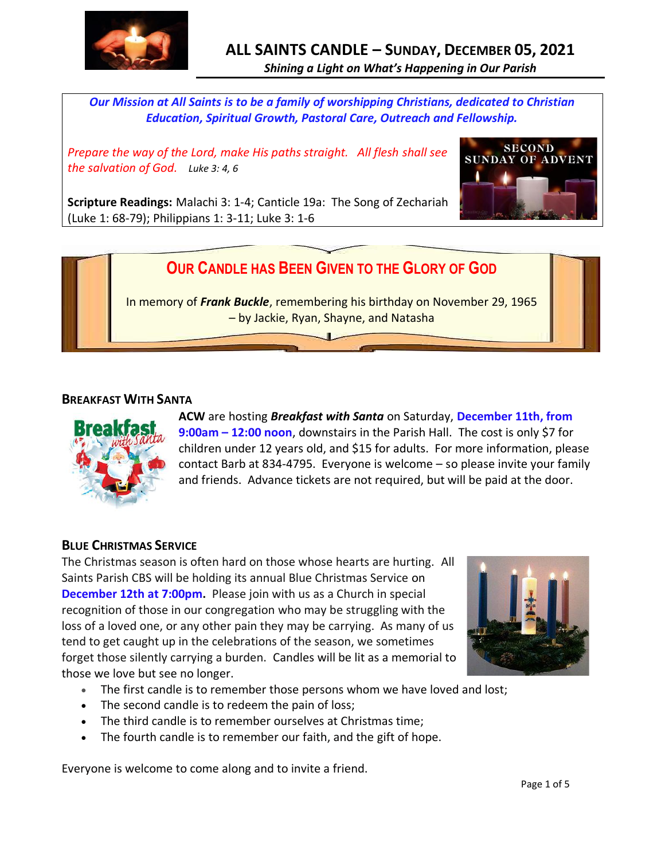

*Our Mission at All Saints is to be a family of worshipping Christians, dedicated to Christian Education, Spiritual Growth, Pastoral Care, Outreach and Fellowship.*

*Prepare the way of the Lord, make His paths straight. All flesh shall see the salvation of God. Luke 3: 4, 6*



**Scripture Readings:** Malachi 3: 1-4; Canticle 19a: The Song of Zechariah (Luke 1: 68-79); Philippians 1: 3-11; Luke 3: 1-6

# **OUR CANDLE HAS BEEN GIVEN TO THE GLORY OF GOD**

In memory of *Frank Buckle*, remembering his birthday on November 29, 1965 – by Jackie, Ryan, Shayne, and Natasha

#### **BREAKFAST WITH SANTA**



**ACW** are hosting *Breakfast with Santa* on Saturday, **December 11th, from 9:00am – 12:00 noon**, downstairs in the Parish Hall. The cost is only \$7 for children under 12 years old, and \$15 for adults. For more information, please contact Barb at 834-4795. Everyone is welcome – so please invite your family and friends. Advance tickets are not required, but will be paid at the door.

# **BLUE CHRISTMAS SERVICE**

The Christmas season is often hard on those whose hearts are hurting. All Saints Parish CBS will be holding its annual Blue Christmas Service on **December 12th at 7:00pm.** Please join with us as a Church in special recognition of those in our congregation who may be struggling with the loss of a loved one, or any other pain they may be carrying. As many of us tend to get caught up in the celebrations of the season, we sometimes forget those silently carrying a burden. Candles will be lit as a memorial to those we love but see no longer.



- The first candle is to remember those persons whom we have loved and lost;
- The second candle is to redeem the pain of loss;
- The third candle is to remember ourselves at Christmas time;
- The fourth candle is to remember our faith, and the gift of hope.

Everyone is welcome to come along and to invite a friend.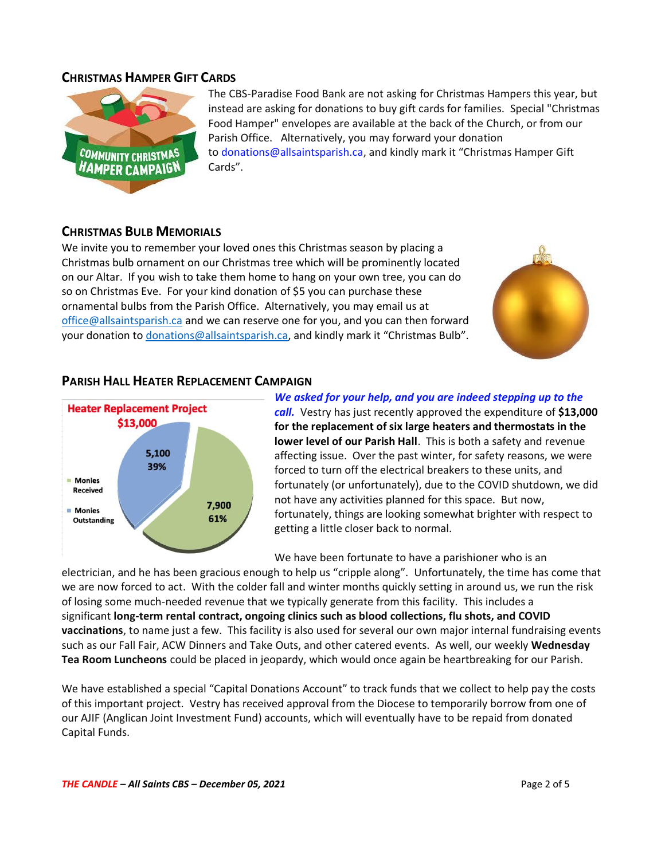#### **CHRISTMAS HAMPER GIFT CARDS**



The CBS-Paradise Food Bank are not asking for Christmas Hampers this year, but instead are asking for donations to buy gift cards for families. Special "Christmas Food Hamper" envelopes are available at the back of the Church, or from our Parish Office. Alternatively, you may forward your donation to [donations@allsaintsparish.ca](mailto:donations@allsaintsparish.ca), and kindly mark it "Christmas Hamper Gift Cards".

# **CHRISTMAS BULB MEMORIALS**

We invite you to remember your loved ones this Christmas season by placing a Christmas bulb ornament on our Christmas tree which will be prominently located on our Altar. If you wish to take them home to hang on your own tree, you can do so on Christmas Eve. For your kind donation of \$5 you can purchase these ornamental bulbs from the Parish Office. Alternatively, you may email us at [office@allsaintsparish.ca](mailto:office@allsaintsparish.ca) and we can reserve one for you, and you can then forward your donation to [donations@allsaintsparish.ca](mailto:donations@allsaintsparish.ca), and kindly mark it "Christmas Bulb".



# **PARISH HALL HEATER REPLACEMENT CAMPAIGN**



*We asked for your help, and you are indeed stepping up to the call.* Vestry has just recently approved the expenditure of **\$13,000 for the replacement of six large heaters and thermostats in the lower level of our Parish Hall**. This is both a safety and revenue affecting issue. Over the past winter, for safety reasons, we were forced to turn off the electrical breakers to these units, and fortunately (or unfortunately), due to the COVID shutdown, we did not have any activities planned for this space. But now, fortunately, things are looking somewhat brighter with respect to getting a little closer back to normal.

We have been fortunate to have a parishioner who is an

electrician, and he has been gracious enough to help us "cripple along". Unfortunately, the time has come that we are now forced to act. With the colder fall and winter months quickly setting in around us, we run the risk of losing some much-needed revenue that we typically generate from this facility. This includes a significant **long-term rental contract, ongoing clinics such as blood collections, flu shots, and COVID vaccinations**, to name just a few. This facility is also used for several our own major internal fundraising events such as our Fall Fair, ACW Dinners and Take Outs, and other catered events. As well, our weekly **Wednesday Tea Room Luncheons** could be placed in jeopardy, which would once again be heartbreaking for our Parish.

We have established a special "Capital Donations Account" to track funds that we collect to help pay the costs of this important project. Vestry has received approval from the Diocese to temporarily borrow from one of our AJIF (Anglican Joint Investment Fund) accounts, which will eventually have to be repaid from donated Capital Funds.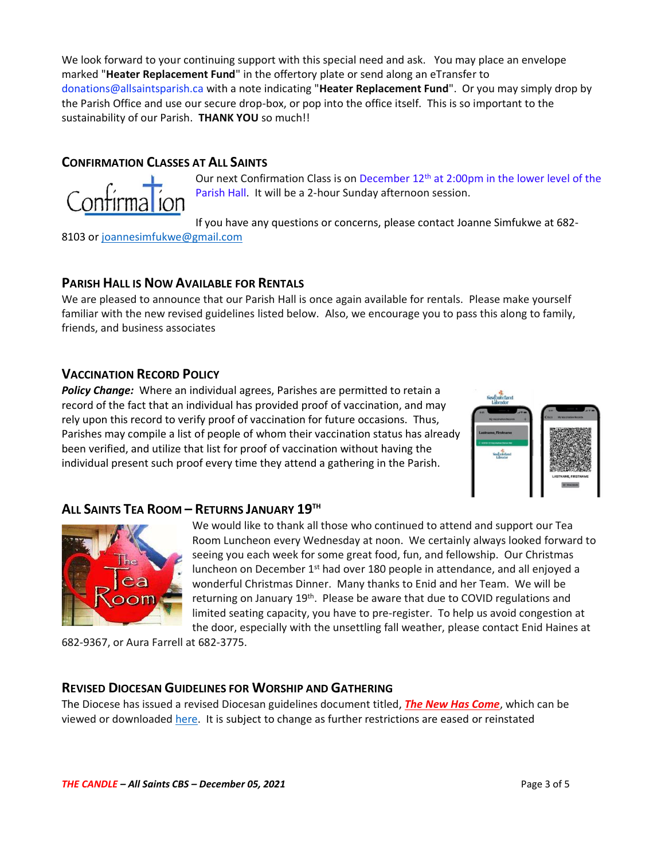We look forward to your continuing support with this special need and ask. You may place an envelope marked "**Heater Replacement Fund**" in the offertory plate or send along an eTransfer to donations@allsaintsparish.ca with a note indicating "**Heater Replacement Fund**". Or you may simply drop by the Parish Office and use our secure drop-box, or pop into the office itself. This is so important to the sustainability of our Parish. **THANK YOU** so much!!

### **CONFIRMATION CLASSES AT ALL SAINTS**



Our next Confirmation Class is on December 12<sup>th</sup> at 2:00pm in the lower level of the Parish Hall. It will be a 2-hour Sunday afternoon session.

If you have any questions or concerns, please contact Joanne Simfukwe at 682-

8103 or [joannesimfukwe@gmail.com](mailto:joannesimfukwe@gmail.com)

# **PARISH HALL IS NOW AVAILABLE FOR RENTALS**

We are pleased to announce that our Parish Hall is once again available for rentals. Please make yourself familiar with the new revised guidelines listed below. Also, we encourage you to pass this along to family, friends, and business associates

# **VACCINATION RECORD POLICY**

*Policy Change:* Where an individual agrees, Parishes are permitted to retain a record of the fact that an individual has provided proof of vaccination, and may rely upon this record to verify proof of vaccination for future occasions. Thus, Parishes may compile a list of people of whom their vaccination status has already been verified, and utilize that list for proof of vaccination without having the individual present such proof every time they attend a gathering in the Parish.



# **ALL SAINTS TEA ROOM – RETURNS JANUARY 19TH**



We would like to thank all those who continued to attend and support our Tea Room Luncheon every Wednesday at noon. We certainly always looked forward to seeing you each week for some great food, fun, and fellowship. Our Christmas luncheon on December  $1<sup>st</sup>$  had over 180 people in attendance, and all enjoyed a wonderful Christmas Dinner. Many thanks to Enid and her Team. We will be returning on January 19<sup>th</sup>. Please be aware that due to COVID regulations and limited seating capacity, you have to pre-register. To help us avoid congestion at the door, especially with the unsettling fall weather, please contact Enid Haines at

682-9367, or Aura Farrell at 682-3775.

#### **REVISED DIOCESAN GUIDELINES FOR WORSHIP AND GATHERING**

The Diocese has issued a revised Diocesan guidelines document titled, *[The New Has Come](https://anglicanenl.net/home/wp-content/uploads/2021/08/The-New-Has-Come-August-10-2021.pdf?fbclid=IwAR2_9nhbxB2LEc3XOqAP_nvoRu4G5Mt6NWIYwOEYNI0OtUl0atv2QwCfCY0)*, which can be viewed or downloade[d here.](https://anglicanenl.net/home/wp-content/uploads/2021/11/The-New-Has-Come-15-Nov-2021.pdf) It is subject to change as further restrictions are eased or reinstated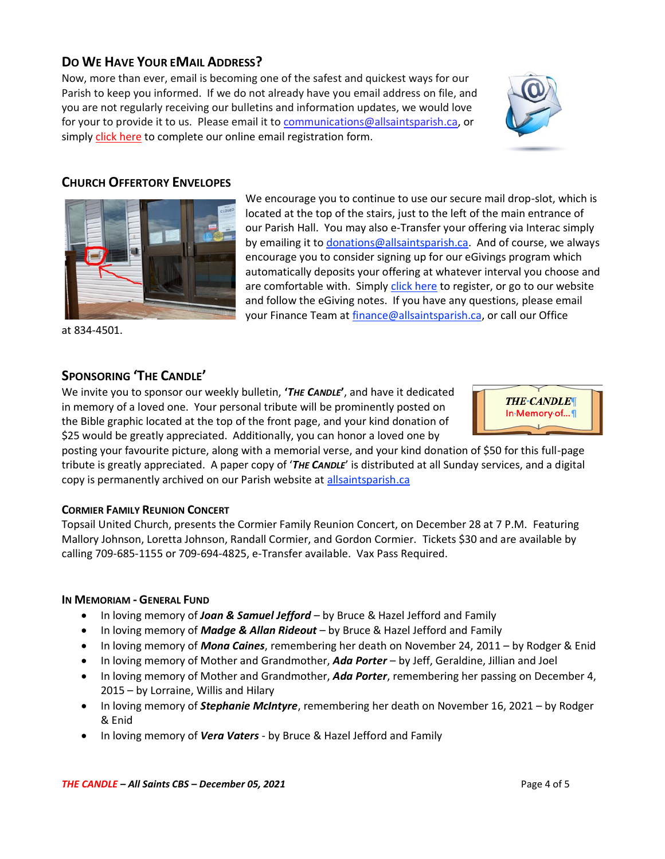# **DO WE HAVE YOUR EMAIL ADDRESS?**

Now, more than ever, email is becoming one of the safest and quickest ways for our Parish to keep you informed. If we do not already have you email address on file, and you are not regularly receiving our bulletins and information updates, we would love for your to provide it to us. Please email it to [communications@allsaintsparish.ca,](mailto:communications@allsaintsparish.ca?subject=eMail%20Address%20Update) or simply [click here](http://allsaintsparish.ca/email_updates) to complete our online email registration form.



#### **CHURCH OFFERTORY ENVELOPES**



We encourage you to continue to use our secure mail drop-slot, which is located at the top of the stairs, just to the left of the main entrance of our Parish Hall. You may also e-Transfer your offering via Interac simply by emailing it t[o donations@allsaintsparish.ca.](mailto:donations@allsaintsparish.ca) And of course, we always encourage you to consider signing up for our eGivings program which automatically deposits your offering at whatever interval you choose and are comfortable with. Simply [click here](http://allsaintsparish.ca/egiving-online-information-form) to register, or go to our website and follow the eGiving notes. If you have [any](https://wfsites-to.websitecreatorprotool.com/870a5dd5.com/Admin/%7BSK_NODEID__22939341__SK%7D) questions, please email your Finance Team at [finance@allsaintsparish.ca,](mailto:finance@allsaintsparish.ca) or call our Office

at 834-4501.

#### **SPONSORING 'THE CANDLE'**

We invite you to sponsor our weekly bulletin, **'***THE CANDLE***'**, and have it dedicated in memory of a loved one. Your personal tribute will be prominently posted on the Bible graphic located at the top of the front page, and your kind donation of \$25 would be greatly appreciated. Additionally, you can honor a loved one by

**THE-CANDLE** In Memory of...

posting your favourite picture, along with a memorial verse, and your kind donation of \$50 for this full-page tribute is greatly appreciated. A paper copy of '*THE CANDLE*' is distributed at all Sunday services, and a digital copy is permanently archived on our Parish website at [allsaintsparish.ca](http://allsaintsparish.ca/thecandle.html)

#### **CORMIER FAMILY REUNION CONCERT**

Topsail United Church, presents the Cormier Family Reunion Concert, on December 28 at 7 P.M. Featuring Mallory Johnson, Loretta Johnson, Randall Cormier, and Gordon Cormier. Tickets \$30 and are available by calling 709-685-1155 or 709-694-4825, e-Transfer available. Vax Pass Required.

#### **IN MEMORIAM - GENERAL FUND**

- In loving memory of *Joan & Samuel Jefford* by Bruce & Hazel Jefford and Family
- In loving memory of *Madge & Allan Rideout* by Bruce & Hazel Jefford and Family
- In loving memory of *Mona Caines*, remembering her death on November 24, 2011 by Rodger & Enid
- In loving memory of Mother and Grandmother, *Ada Porter* by Jeff, Geraldine, Jillian and Joel
- In loving memory of Mother and Grandmother, *Ada Porter*, remembering her passing on December 4, 2015 – by Lorraine, Willis and Hilary
- In loving memory of *Stephanie McIntyre*, remembering her death on November 16, 2021 by Rodger & Enid
- In loving memory of *Vera Vaters* by Bruce & Hazel Jefford and Family